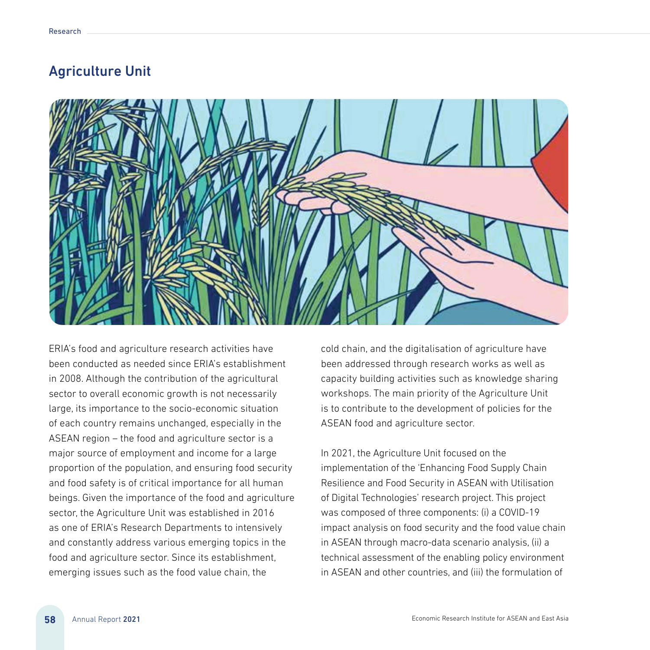

ERIA's food and agriculture research activities have been conducted as needed since ERIA's establishment in 2008. Although the contribution of the agricultural sector to overall economic growth is not necessarily large, its importance to the socio-economic situation of each country remains unchanged, especially in the ASEAN region – the food and agriculture sector is a major source of employment and income for a large proportion of the population, and ensuring food security and food safety is of critical importance for all human beings. Given the importance of the food and agriculture sector, the Agriculture Unit was established in 2016 as one of ERIA's Research Departments to intensively and constantly address various emerging topics in the food and agriculture sector. Since its establishment, emerging issues such as the food value chain, the

cold chain, and the digitalisation of agriculture have been addressed through research works as well as capacity building activities such as knowledge sharing workshops. The main priority of the Agriculture Unit is to contribute to the development of policies for the ASEAN food and agriculture sector.

In 2021, the Agriculture Unit focused on the implementation of the 'Enhancing Food Supply Chain Resilience and Food Security in ASEAN with Utilisation of Digital Technologies' research project. This project was composed of three components: (i) a COVID-19 impact analysis on food security and the food value chain in ASEAN through macro-data scenario analysis, (ii) a technical assessment of the enabling policy environment in ASEAN and other countries, and (iii) the formulation of